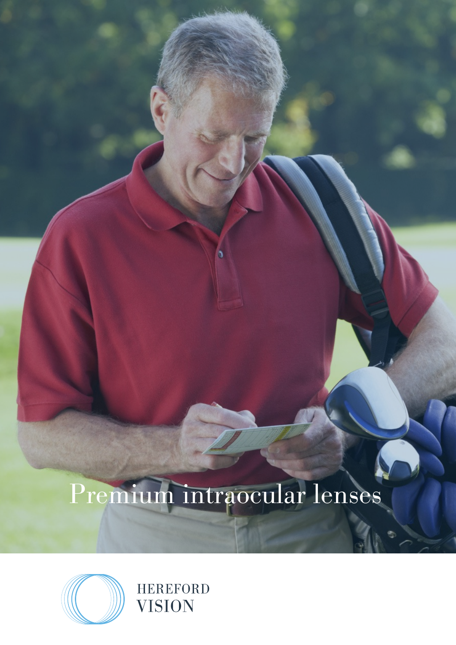# Premium intraocular lenses



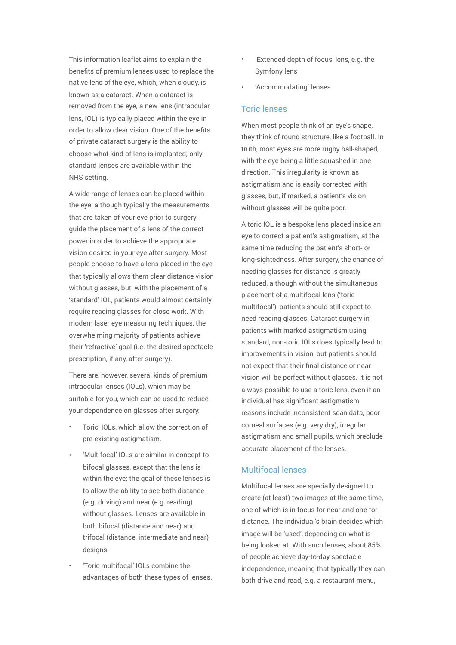This information leaflet aims to explain the benefits of premium lenses used to replace the native lens of the eye, which, when cloudy, is known as a cataract. When a cataract is removed from the eye, a new lens (intraocular lens, IOL) is typically placed within the eye in order to allow clear vision. One of the benefits of private cataract surgery is the ability to choose what kind of lens is implanted; only standard lenses are available within the NHS setting.

A wide range of lenses can be placed within the eye, although typically the measurements that are taken of your eye prior to surgery guide the placement of a lens of the correct power in order to achieve the appropriate vision desired in your eye after surgery. Most people choose to have a lens placed in the eye that typically allows them clear distance vision without glasses, but, with the placement of a 'standard' IOL, patients would almost certainly require reading glasses for close work. With modern laser eye measuring techniques, the overwhelming majority of patients achieve their 'refractive' goal (i.e. the desired spectacle prescription, if any, after surgery).

There are, however, several kinds of premium intraocular lenses (IOLs), which may be suitable for you, which can be used to reduce your dependence on glasses after surgery:

- Toric' IOLs, which allow the correction of pre-existing astigmatism.
- 'Multifocal' IOLs are similar in concept to bifocal glasses, except that the lens is within the eye; the goal of these lenses is to allow the ability to see both distance (e.g. driving) and near (e.g. reading) without glasses. Lenses are available in both bifocal (distance and near) and trifocal (distance, intermediate and near) designs.
- 'Toric multifocal' IOLs combine the advantages of both these types of lenses.
- 'Extended depth of focus' lens, e.g. the Symfony lens
- 'Accommodating' lenses.

# Toric lenses

When most people think of an eye's shape, they think of round structure, like a football. In truth, most eyes are more rugby ball-shaped, with the eye being a little squashed in one direction. This irregularity is known as astigmatism and is easily corrected with glasses, but, if marked, a patient's vision without glasses will be quite poor.

A toric IOL is a bespoke lens placed inside an eye to correct a patient's astigmatism, at the same time reducing the patient's short- or long-sightedness. After surgery, the chance of needing glasses for distance is greatly reduced, although without the simultaneous placement of a multifocal lens ('toric multifocal'), patients should still expect to need reading glasses. Cataract surgery in patients with marked astigmatism using standard, non-toric IOLs does typically lead to improvements in vision, but patients should not expect that their final distance or near vision will be perfect without glasses. It is not always possible to use a toric lens, even if an individual has significant astigmatism; reasons include inconsistent scan data, poor corneal surfaces (e.g. very dry), irregular astigmatism and small pupils, which preclude accurate placement of the lenses.

# Multifocal lenses

Multifocal lenses are specially designed to create (at least) two images at the same time, one of which is in focus for near and one for distance. The individual's brain decides which image will be 'used', depending on what is being looked at. With such lenses, about 85% of people achieve day-to-day spectacle independence, meaning that typically they can both drive and read, e.g. a restaurant menu,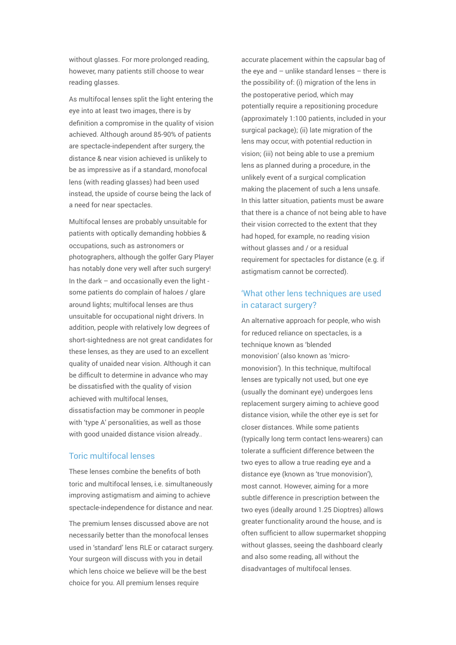without glasses. For more prolonged reading, however, many patients still choose to wear reading glasses.

As multifocal lenses split the light entering the eye into at least two images, there is by definition a compromise in the quality of vision achieved. Although around 85-90% of patients are spectacle-independent after surgery, the distance & near vision achieved is unlikely to be as impressive as if a standard, monofocal lens (with reading glasses) had been used instead, the upside of course being the lack of a need for near spectacles.

Multifocal lenses are probably unsuitable for patients with optically demanding hobbies & occupations, such as astronomers or photographers, although the golfer Gary Player has notably done very well after such surgery! In the dark – and occasionally even the light some patients do complain of haloes / glare around lights; multifocal lenses are thus unsuitable for occupational night drivers. In addition, people with relatively low degrees of short-sightedness are not great candidates for these lenses, as they are used to an excellent quality of unaided near vision. Although it can be difficult to determine in advance who may be dissatisfied with the quality of vision achieved with multifocal lenses, dissatisfaction may be commoner in people with 'type A' personalities, as well as those with good unaided distance vision already..

# Toric multifocal lenses

These lenses combine the benefits of both toric and multifocal lenses, i.e. simultaneously improving astigmatism and aiming to achieve spectacle-independence for distance and near.

The premium lenses discussed above are not necessarily better than the monofocal lenses used in 'standard' lens RLE or cataract surgery. Your surgeon will discuss with you in detail which lens choice we believe will be the best choice for you. All premium lenses require

accurate placement within the capsular bag of the eye and – unlike standard lenses – there is the possibility of: (i) migration of the lens in the postoperative period, which may potentially require a repositioning procedure (approximately 1:100 patients, included in your surgical package); (ii) late migration of the lens may occur, with potential reduction in vision; (iii) not being able to use a premium lens as planned during a procedure, in the unlikely event of a surgical complication making the placement of such a lens unsafe. In this latter situation, patients must be aware that there is a chance of not being able to have their vision corrected to the extent that they had hoped, for example, no reading vision without glasses and / or a residual requirement for spectacles for distance (e.g. if astigmatism cannot be corrected).

# 'What other lens techniques are used in cataract surgery?

An alternative approach for people, who wish for reduced reliance on spectacles, is a technique known as 'blended monovision' (also known as 'micromonovision'). In this technique, multifocal lenses are typically not used, but one eye (usually the dominant eye) undergoes lens replacement surgery aiming to achieve good distance vision, while the other eye is set for closer distances. While some patients (typically long term contact lens-wearers) can tolerate a sufficient difference between the two eyes to allow a true reading eye and a distance eye (known as 'true monovision'), most cannot. However, aiming for a more subtle difference in prescription between the two eyes (ideally around 1.25 Dioptres) allows greater functionality around the house, and is often sufficient to allow supermarket shopping without glasses, seeing the dashboard clearly and also some reading, all without the disadvantages of multifocal lenses.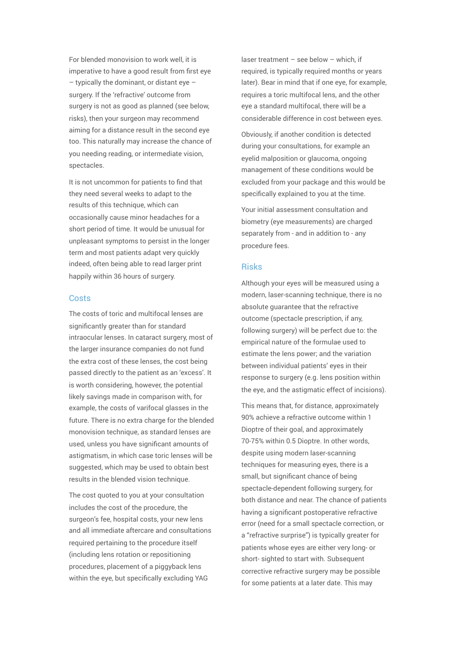For blended monovision to work well, it is imperative to have a good result from first eye – typically the dominant, or distant eye – surgery. If the 'refractive' outcome from surgery is not as good as planned (see below, risks), then your surgeon may recommend aiming for a distance result in the second eye too. This naturally may increase the chance of you needing reading, or intermediate vision, spectacles.

It is not uncommon for patients to find that they need several weeks to adapt to the results of this technique, which can occasionally cause minor headaches for a short period of time. It would be unusual for unpleasant symptoms to persist in the longer term and most patients adapt very quickly indeed, often being able to read larger print happily within 36 hours of surgery.

#### **Costs**

The costs of toric and multifocal lenses are significantly greater than for standard intraocular lenses. In cataract surgery, most of the larger insurance companies do not fund the extra cost of these lenses, the cost being passed directly to the patient as an 'excess'. It is worth considering, however, the potential likely savings made in comparison with, for example, the costs of varifocal glasses in the future. There is no extra charge for the blended monovision technique, as standard lenses are used, unless you have significant amounts of astigmatism, in which case toric lenses will be suggested, which may be used to obtain best results in the blended vision technique.

The cost quoted to you at your consultation includes the cost of the procedure, the surgeon's fee, hospital costs, your new lens and all immediate aftercare and consultations required pertaining to the procedure itself (including lens rotation or repositioning procedures, placement of a piggyback lens within the eye, but specifically excluding YAG

laser treatment – see below – which, if required, is typically required months or years later). Bear in mind that if one eye, for example, requires a toric multifocal lens, and the other eye a standard multifocal, there will be a considerable difference in cost between eyes.

Obviously, if another condition is detected during your consultations, for example an eyelid malposition or glaucoma, ongoing management of these conditions would be excluded from your package and this would be specifically explained to you at the time.

Your initial assessment consultation and biometry (eye measurements) are charged separately from - and in addition to - any procedure fees.

# Risks

Although your eyes will be measured using a modern, laser-scanning technique, there is no absolute guarantee that the refractive outcome (spectacle prescription, if any, following surgery) will be perfect due to: the empirical nature of the formulae used to estimate the lens power; and the variation between individual patients' eyes in their response to surgery (e.g. lens position within the eye, and the astigmatic effect of incisions).

This means that, for distance, approximately 90% achieve a refractive outcome within 1 Dioptre of their goal, and approximately 70-75% within 0.5 Dioptre. In other words, despite using modern laser-scanning techniques for measuring eyes, there is a small, but significant chance of being spectacle-dependent following surgery, for both distance and near. The chance of patients having a significant postoperative refractive error (need for a small spectacle correction, or a "refractive surprise") is typically greater for patients whose eyes are either very long- or short- sighted to start with. Subsequent corrective refractive surgery may be possible for some patients at a later date. This may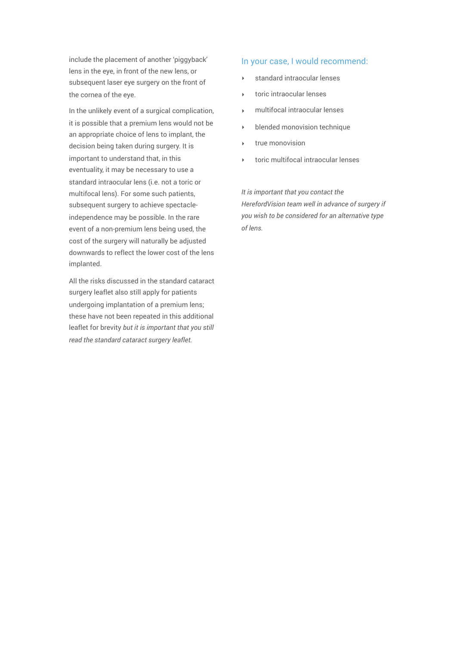include the placement of another 'piggyback' lens in the eye, in front of the new lens, or subsequent laser eye surgery on the front of the cornea of the eye.

In the unlikely event of a surgical complication, it is possible that a premium lens would not be an appropriate choice of lens to implant, the decision being taken during surgery. It is important to understand that, in this eventuality, it may be necessary to use a standard intraocular lens (i.e. not a toric or multifocal lens). For some such patients, subsequent surgery to achieve spectacleindependence may be possible. In the rare event of a non-premium lens being used, the cost of the surgery will naturally be adjusted downwards to reflect the lower cost of the lens implanted.

All the risks discussed in the standard cataract surgery leaflet also still apply for patients undergoing implantation of a premium lens; these have not been repeated in this additional leaflet for brevity *but it is important that you still read the standard cataract surgery leaflet.* 

# In your case, I would recommend:

- standard intraocular lenses
- ‣ toric intraocular lenses
- ‣ multifocal intraocular lenses
- ‣ blended monovision technique
- ‣ true monovision
- ‣ toric multifocal intraocular lenses

*It is important that you contact the HerefordVision team well in advance of surgery if you wish to be considered for an alternative type of lens.*